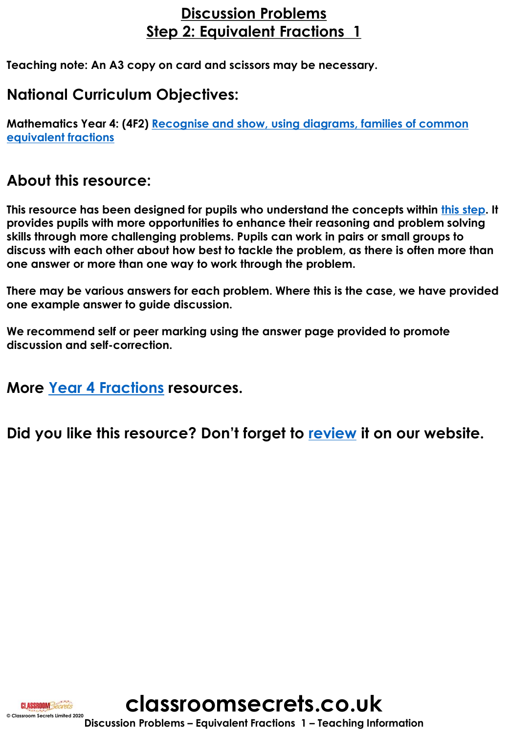## **Discussion Problems Step 2: Equivalent Fractions 1**

**Teaching note: An A3 copy on card and scissors may be necessary.**

## **National Curriculum Objectives:**

**Mathematics Year 4: (4F2) [Recognise and show, using diagrams, families of common](http://classroomsecrets.co.uk/content-domain-filter/?fwp_contentdomain=4f2)  equivalent fractions**

## **About this resource:**

**CLASSROOM** Secrets

**This resource has been designed for pupils who understand the concepts within [this step](https://classroomsecrets.co.uk/category/maths/year-4/spring-block-3-fractions/step-2-spring-block-3-fractions/). It provides pupils with more opportunities to enhance their reasoning and problem solving skills through more challenging problems. Pupils can work in pairs or small groups to discuss with each other about how best to tackle the problem, as there is often more than one answer or more than one way to work through the problem.**

**There may be various answers for each problem. Where this is the case, we have provided one example answer to guide discussion.** 

**We recommend self or peer marking using the answer page provided to promote discussion and self-correction.**

**More [Year 4 Fractions](https://classroomsecrets.co.uk/category/maths/year-4/spring-block-3-fractions/) resources.**

**Did you like this resource? Don't forget to [review](https://classroomsecrets.co.uk/fractions-year-4-equivalent-fractions-1-discussion-problems) it on our website.**

**classroomsecrets.co.uk**

**Discussion Problems – Equivalent Fractions 1 – Teaching Information © Classroom Secrets Limited 2020**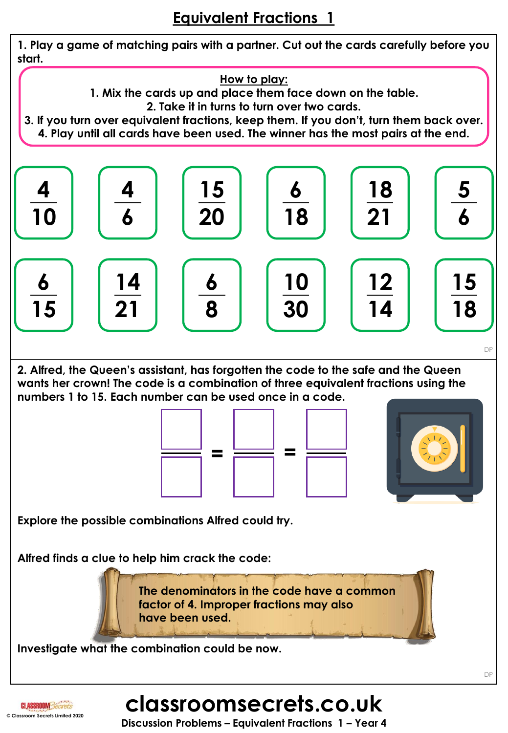

**CLASSROOM** Secrets **© Classroom Secrets Limited 2020**

**Discussion Problems – Equivalent Fractions 1 – Year 4**